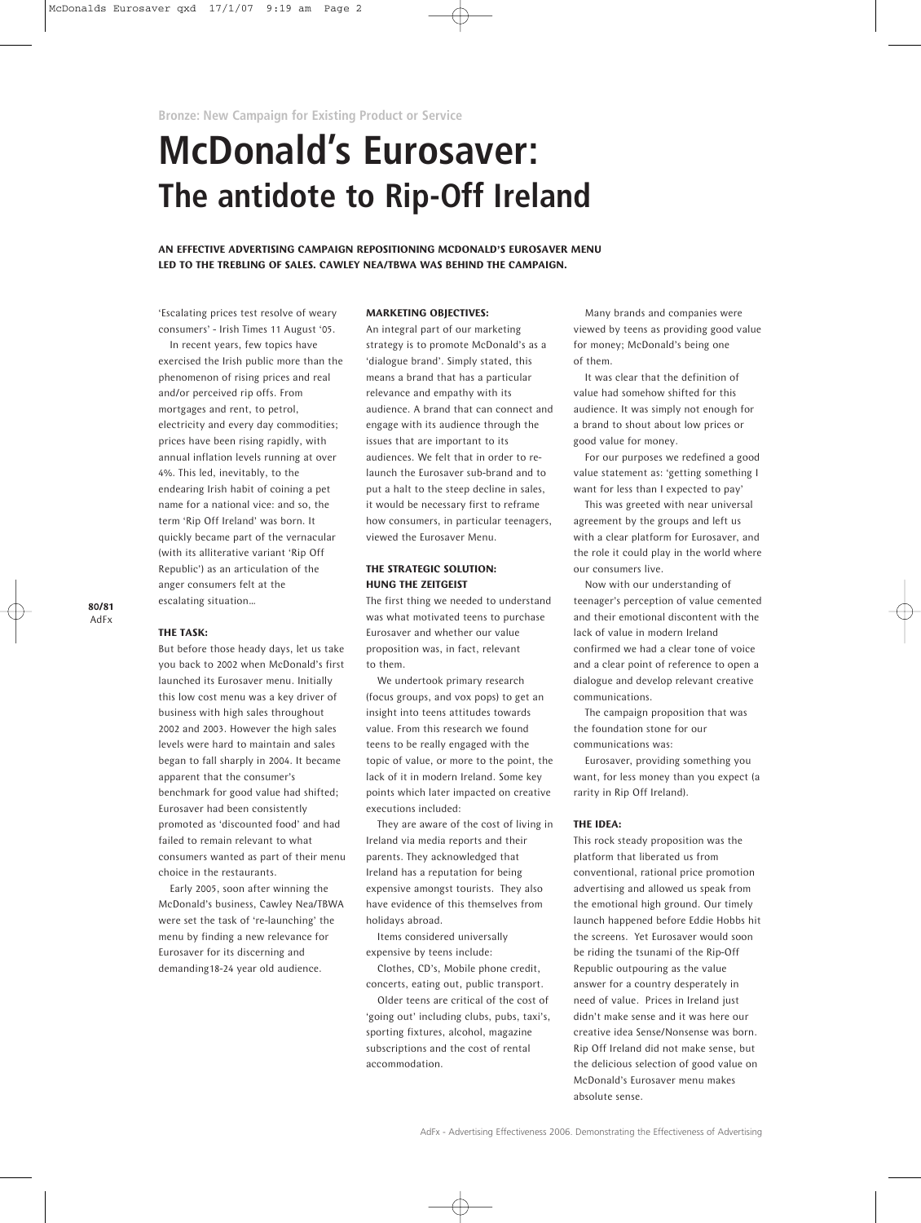**Bronze: New Campaign for Existing Product or Service**

# **McDonald's Eurosaver: The antidote to Rip-Off Ireland**

**AN EFFECTIVE ADVERTISING CAMPAIGN REPOSITIONING MCDONALD'S EUROSAVER MENU LED TO THE TREBLING OF SALES. CAWLEY NEA/TBWA WAS BEHIND THE CAMPAIGN.**

'Escalating prices test resolve of weary consumers' - Irish Times 11 August '05.

In recent years, few topics have exercised the Irish public more than the phenomenon of rising prices and real and/or perceived rip offs. From mortgages and rent, to petrol, electricity and every day commodities; prices have been rising rapidly, with annual inflation levels running at over 4%. This led, inevitably, to the endearing Irish habit of coining a pet name for a national vice: and so, the term 'Rip Off Ireland' was born. It quickly became part of the vernacular (with its alliterative variant 'Rip Off Republic') as an articulation of the anger consumers felt at the escalating situation…

#### **80/81** AdFx

#### **THE TASK:**

But before those heady days, let us take you back to 2002 when McDonald's first launched its Eurosaver menu. Initially this low cost menu was a key driver of business with high sales throughout 2002 and 2003. However the high sales levels were hard to maintain and sales began to fall sharply in 2004. It became apparent that the consumer's benchmark for good value had shifted; Eurosaver had been consistently promoted as 'discounted food' and had failed to remain relevant to what consumers wanted as part of their menu choice in the restaurants.

Early 2005, soon after winning the McDonald's business, Cawley Nea/TBWA were set the task of 're-launching' the menu by finding a new relevance for Eurosaver for its discerning and demanding18-24 year old audience.

# **MARKETING OBJECTIVES:**

An integral part of our marketing strategy is to promote McDonald's as a 'dialogue brand'. Simply stated, this means a brand that has a particular relevance and empathy with its audience. A brand that can connect and engage with its audience through the issues that are important to its audiences. We felt that in order to relaunch the Eurosaver sub-brand and to put a halt to the steep decline in sales, it would be necessary first to reframe how consumers, in particular teenagers, viewed the Eurosaver Menu.

# **THE STRATEGIC SOLUTION: HUNG THE ZEITGEIST**

The first thing we needed to understand was what motivated teens to purchase Eurosaver and whether our value proposition was, in fact, relevant to them.

We undertook primary research (focus groups, and vox pops) to get an insight into teens attitudes towards value. From this research we found teens to be really engaged with the topic of value, or more to the point, the lack of it in modern Ireland. Some key points which later impacted on creative executions included:

They are aware of the cost of living in Ireland via media reports and their parents. They acknowledged that Ireland has a reputation for being expensive amongst tourists. They also have evidence of this themselves from holidays abroad.

Items considered universally expensive by teens include:

Clothes, CD's, Mobile phone credit, concerts, eating out, public transport.

Older teens are critical of the cost of 'going out' including clubs, pubs, taxi's, sporting fixtures, alcohol, magazine subscriptions and the cost of rental accommodation.

Many brands and companies were viewed by teens as providing good value for money; McDonald's being one of them.

It was clear that the definition of value had somehow shifted for this audience. It was simply not enough for a brand to shout about low prices or good value for money.

For our purposes we redefined a good value statement as: 'getting something I want for less than I expected to pay'

This was greeted with near universal agreement by the groups and left us with a clear platform for Eurosaver, and the role it could play in the world where our consumers live.

Now with our understanding of teenager's perception of value cemented and their emotional discontent with the lack of value in modern Ireland confirmed we had a clear tone of voice and a clear point of reference to open a dialogue and develop relevant creative communications.

The campaign proposition that was the foundation stone for our communications was:

Eurosaver, providing something you want, for less money than you expect (a rarity in Rip Off Ireland).

## **THE IDEA:**

This rock steady proposition was the platform that liberated us from conventional, rational price promotion advertising and allowed us speak from the emotional high ground. Our timely launch happened before Eddie Hobbs hit the screens. Yet Eurosaver would soon be riding the tsunami of the Rip-Off Republic outpouring as the value answer for a country desperately in need of value. Prices in Ireland just didn't make sense and it was here our creative idea Sense/Nonsense was born. Rip Off Ireland did not make sense, but the delicious selection of good value on McDonald's Eurosaver menu makes absolute sense.

AdFx - Advertising Effectiveness 2006. Demonstrating the Effectiveness of Advertising